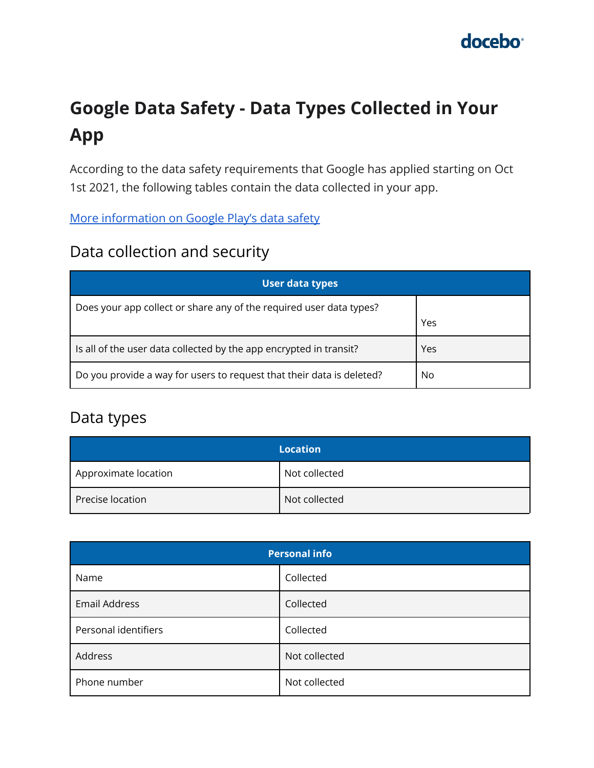# **Google Data Safety - Data Types Collected in Your App**

According to the data safety requirements that Google has applied starting on Oct 1st 2021, the following tables contain the data collected in your app.

[More information on Google Play's data safety](https://support.google.com/googleplay/android-developer/answer/10787469)

#### Data collection and security

| <b>User data types</b>                                                |     |  |
|-----------------------------------------------------------------------|-----|--|
| Does your app collect or share any of the required user data types?   |     |  |
|                                                                       | Yes |  |
| Is all of the user data collected by the app encrypted in transit?    | Yes |  |
| Do you provide a way for users to request that their data is deleted? | No  |  |

#### Data types

|                      | <b>Location</b> |
|----------------------|-----------------|
| Approximate location | Not collected   |
| Precise location     | Not collected   |

| <b>Personal info</b> |               |
|----------------------|---------------|
| Name                 | Collected     |
| <b>Email Address</b> | Collected     |
| Personal identifiers | Collected     |
| Address              | Not collected |
| Phone number         | Not collected |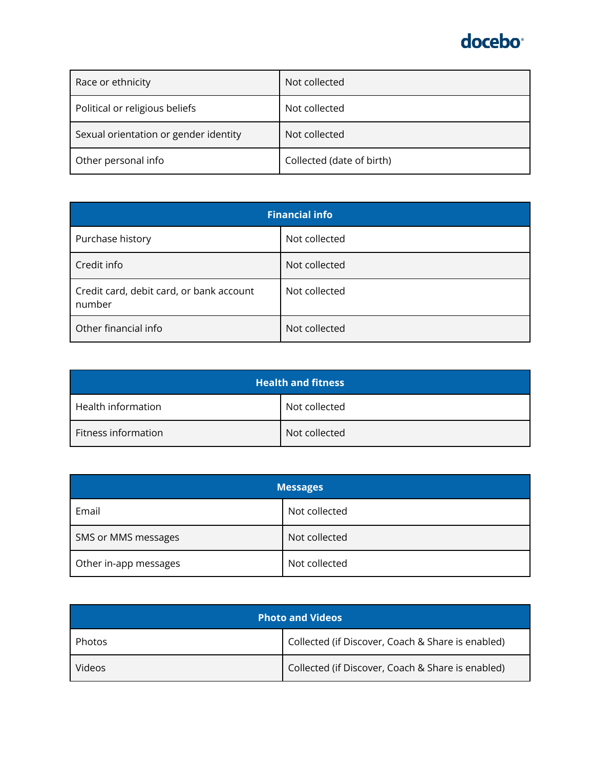| Race or ethnicity                     | Not collected             |
|---------------------------------------|---------------------------|
| Political or religious beliefs        | Not collected             |
| Sexual orientation or gender identity | Not collected             |
| Other personal info                   | Collected (date of birth) |

| <b>Financial info</b>                              |               |
|----------------------------------------------------|---------------|
| Purchase history                                   | Not collected |
| Credit info                                        | Not collected |
| Credit card, debit card, or bank account<br>number | Not collected |
| Other financial info                               | Not collected |

| <b>Health and fitness</b> |               |
|---------------------------|---------------|
| Health information        | Not collected |
| Fitness information       | Not collected |

| <b>Messages</b>       |               |
|-----------------------|---------------|
| Email                 | Not collected |
| SMS or MMS messages   | Not collected |
| Other in-app messages | Not collected |

| <b>Photo and Videos</b> |                                                   |
|-------------------------|---------------------------------------------------|
| Photos                  | Collected (if Discover, Coach & Share is enabled) |
| Videos                  | Collected (if Discover, Coach & Share is enabled) |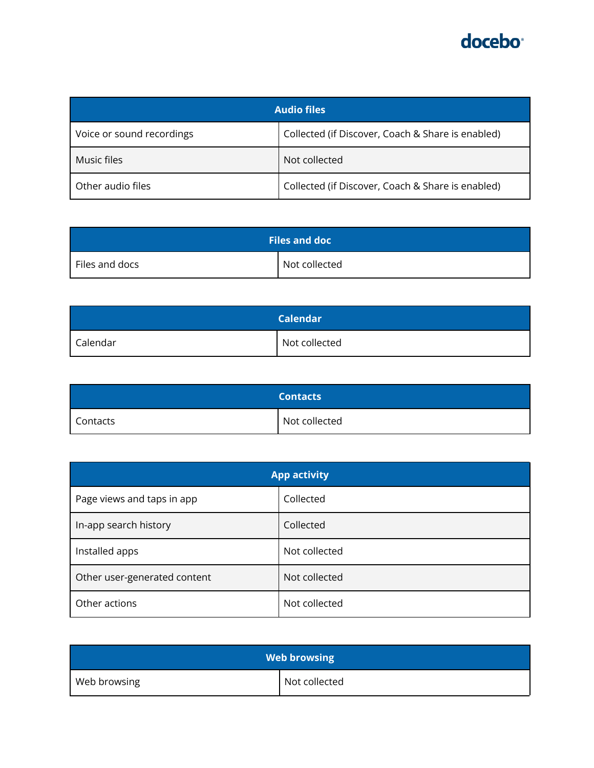| <b>Audio files</b>        |                                                   |
|---------------------------|---------------------------------------------------|
| Voice or sound recordings | Collected (if Discover, Coach & Share is enabled) |
| Music files               | Not collected                                     |
| Other audio files         | Collected (if Discover, Coach & Share is enabled) |

| <b>Files and doc</b> |               |
|----------------------|---------------|
| Files and docs       | Not collected |

|          | <b>Calendar</b> |
|----------|-----------------|
| Calendar | Not collected   |

|          | <b>Contacts</b> |
|----------|-----------------|
| Contacts | Not collected   |

| <b>App activity</b>          |               |
|------------------------------|---------------|
| Page views and taps in app   | Collected     |
| In-app search history        | Collected     |
| Installed apps               | Not collected |
| Other user-generated content | Not collected |
| Other actions                | Not collected |

| <b>Web browsing</b> |               |
|---------------------|---------------|
| Web browsing        | Not collected |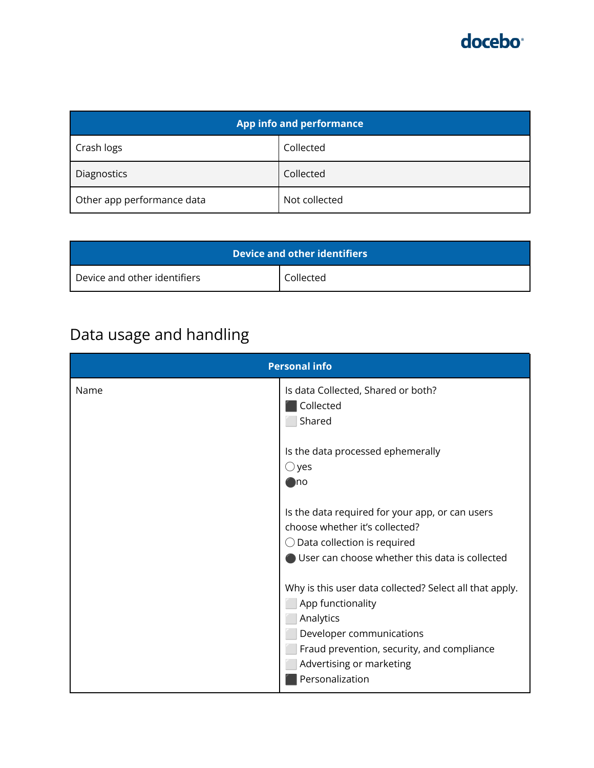| App info and performance   |               |
|----------------------------|---------------|
| Crash logs                 | Collected     |
| Diagnostics                | Collected     |
| Other app performance data | Not collected |

| <b>Device and other identifiers</b> |           |
|-------------------------------------|-----------|
| Device and other identifiers        | Collected |

# Data usage and handling

| <b>Personal info</b> |                                                                                                                                                                                                                    |
|----------------------|--------------------------------------------------------------------------------------------------------------------------------------------------------------------------------------------------------------------|
| Name                 | Is data Collected, Shared or both?<br>Collected<br>Shared                                                                                                                                                          |
|                      | Is the data processed ephemerally<br>$\bigcirc$ yes<br>⊕no                                                                                                                                                         |
|                      | Is the data required for your app, or can users<br>choose whether it's collected?<br>$\bigcirc$ Data collection is required<br>User can choose whether this data is collected                                      |
|                      | Why is this user data collected? Select all that apply.<br>App functionality<br>Analytics<br>Developer communications<br>Fraud prevention, security, and compliance<br>Advertising or marketing<br>Personalization |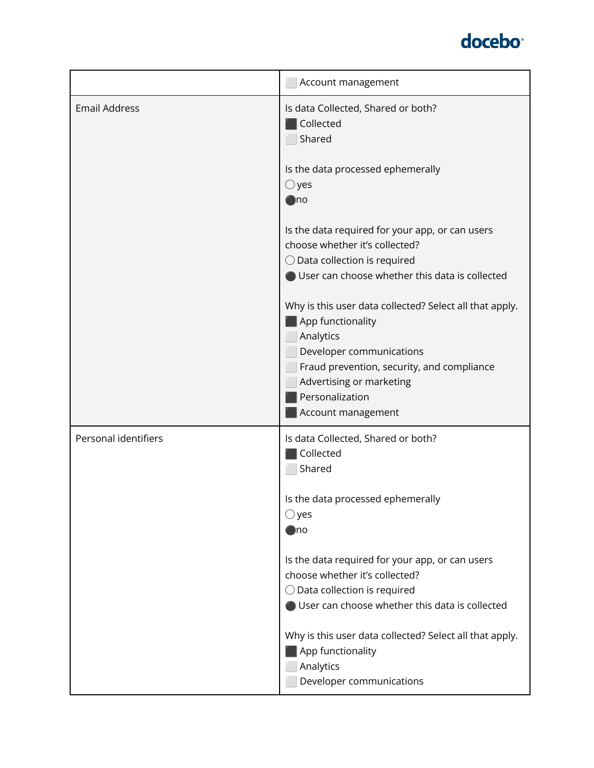

|                      | Account management                                                                                                                                                                                                                       |
|----------------------|------------------------------------------------------------------------------------------------------------------------------------------------------------------------------------------------------------------------------------------|
| <b>Email Address</b> | Is data Collected, Shared or both?<br>Collected<br>Shared                                                                                                                                                                                |
|                      | Is the data processed ephemerally<br>$\bigcirc$ yes<br>$\bigcirc$ no                                                                                                                                                                     |
|                      | Is the data required for your app, or can users<br>choose whether it's collected?<br>$\bigcirc$ Data collection is required<br>User can choose whether this data is collected                                                            |
|                      | Why is this user data collected? Select all that apply.<br>App functionality<br>Analytics<br>Developer communications<br>Fraud prevention, security, and compliance<br>Advertising or marketing<br>Personalization<br>Account management |
| Personal identifiers | Is data Collected, Shared or both?<br>Collected<br>Shared                                                                                                                                                                                |
|                      | Is the data processed ephemerally<br>$\bigcirc$ yes<br>)no                                                                                                                                                                               |
|                      | Is the data required for your app, or can users<br>choose whether it's collected?<br>$\bigcirc$ Data collection is required<br>User can choose whether this data is collected                                                            |
|                      | Why is this user data collected? Select all that apply.<br>App functionality<br>Analytics<br>Developer communications                                                                                                                    |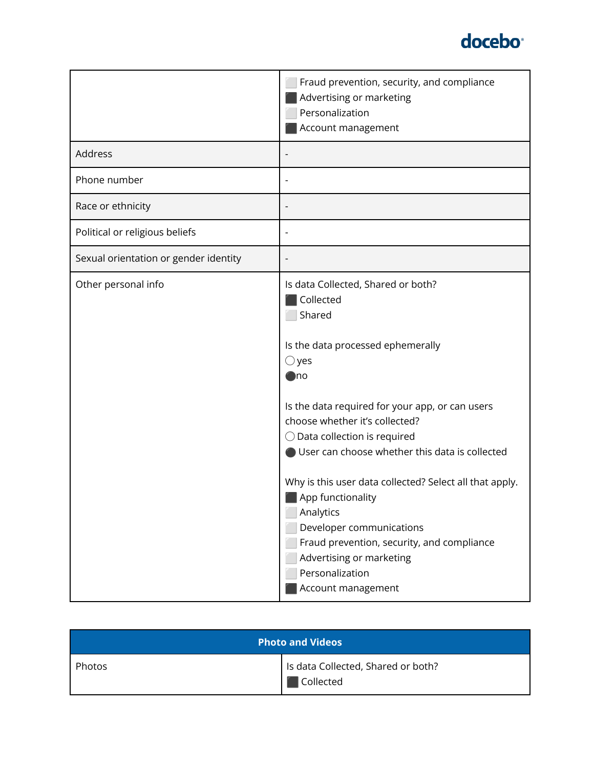

|                                       | Fraud prevention, security, and compliance<br>Advertising or marketing<br>Personalization<br>Account management                                                                                                                                                                                                                                                                                                                                                                                                                                      |
|---------------------------------------|------------------------------------------------------------------------------------------------------------------------------------------------------------------------------------------------------------------------------------------------------------------------------------------------------------------------------------------------------------------------------------------------------------------------------------------------------------------------------------------------------------------------------------------------------|
| Address                               |                                                                                                                                                                                                                                                                                                                                                                                                                                                                                                                                                      |
| Phone number                          |                                                                                                                                                                                                                                                                                                                                                                                                                                                                                                                                                      |
| Race or ethnicity                     |                                                                                                                                                                                                                                                                                                                                                                                                                                                                                                                                                      |
| Political or religious beliefs        |                                                                                                                                                                                                                                                                                                                                                                                                                                                                                                                                                      |
| Sexual orientation or gender identity |                                                                                                                                                                                                                                                                                                                                                                                                                                                                                                                                                      |
| Other personal info                   | Is data Collected, Shared or both?<br>Collected<br>Shared<br>Is the data processed ephemerally<br>$\bigcirc$ yes<br>⊜no<br>Is the data required for your app, or can users<br>choose whether it's collected?<br>$\bigcirc$ Data collection is required<br>User can choose whether this data is collected<br>Why is this user data collected? Select all that apply.<br>App functionality<br>Analytics<br>Developer communications<br>Fraud prevention, security, and compliance<br>Advertising or marketing<br>Personalization<br>Account management |

| <b>Photo and Videos</b> |                                                 |
|-------------------------|-------------------------------------------------|
| Photos                  | Is data Collected, Shared or both?<br>Collected |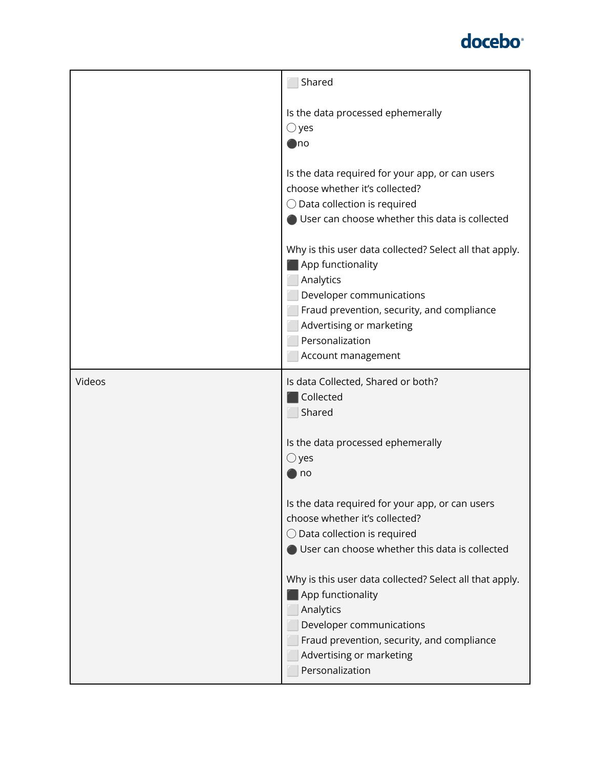|        | Shared                                                                                                                                                                                                                                   |
|--------|------------------------------------------------------------------------------------------------------------------------------------------------------------------------------------------------------------------------------------------|
|        | Is the data processed ephemerally<br>$\bigcirc$ yes<br>⊜no                                                                                                                                                                               |
|        | Is the data required for your app, or can users<br>choose whether it's collected?<br>$\bigcirc$ Data collection is required<br>User can choose whether this data is collected                                                            |
|        | Why is this user data collected? Select all that apply.<br>App functionality<br>Analytics<br>Developer communications<br>Fraud prevention, security, and compliance<br>Advertising or marketing<br>Personalization<br>Account management |
| Videos | Is data Collected, Shared or both?<br>Collected<br>Shared                                                                                                                                                                                |
|        | Is the data processed ephemerally<br>$\bigcirc$ yes<br>$\blacksquare$ no                                                                                                                                                                 |
|        | Is the data required for your app, or can users<br>choose whether it's collected?<br>$\bigcirc$ Data collection is required<br>User can choose whether this data is collected                                                            |
|        | Why is this user data collected? Select all that apply.<br>App functionality<br>Analytics<br>Developer communications<br>Fraud prevention, security, and compliance<br>Advertising or marketing<br>Personalization                       |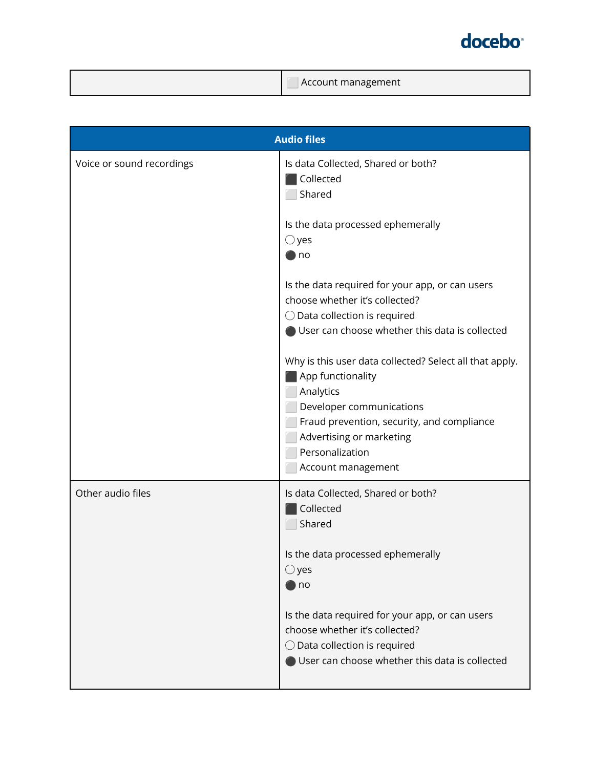|  | Account management |
|--|--------------------|
|--|--------------------|

| <b>Audio files</b>        |                                                                                                                                                                                                                                          |
|---------------------------|------------------------------------------------------------------------------------------------------------------------------------------------------------------------------------------------------------------------------------------|
| Voice or sound recordings | Is data Collected, Shared or both?<br><b>Collected</b><br>Shared                                                                                                                                                                         |
|                           | Is the data processed ephemerally<br>$\bigcirc$ yes<br>) no                                                                                                                                                                              |
|                           | Is the data required for your app, or can users<br>choose whether it's collected?<br>$\bigcirc$ Data collection is required<br>User can choose whether this data is collected                                                            |
|                           | Why is this user data collected? Select all that apply.<br>App functionality<br>Analytics<br>Developer communications<br>Fraud prevention, security, and compliance<br>Advertising or marketing<br>Personalization<br>Account management |
| Other audio files         | Is data Collected, Shared or both?<br>Collected<br>Shared                                                                                                                                                                                |
|                           | Is the data processed ephemerally<br>$\bigcirc$ yes<br>) no                                                                                                                                                                              |
|                           | Is the data required for your app, or can users<br>choose whether it's collected?<br>$\bigcirc$ Data collection is required<br>User can choose whether this data is collected                                                            |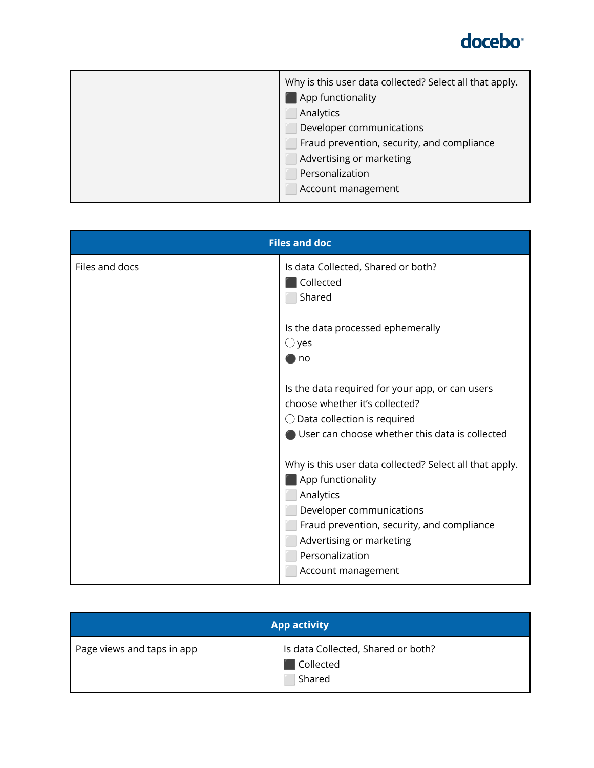

| Why is this user data collected? Select all that apply.<br>App functionality |
|------------------------------------------------------------------------------|
| Analytics                                                                    |
| Developer communications                                                     |
| Fraud prevention, security, and compliance                                   |
| Advertising or marketing                                                     |
| Personalization                                                              |
| Account management                                                           |

| <b>Files and doc</b> |                                                                                                                                                                                                                                          |
|----------------------|------------------------------------------------------------------------------------------------------------------------------------------------------------------------------------------------------------------------------------------|
| Files and docs       | Is data Collected, Shared or both?<br>Collected<br>Shared                                                                                                                                                                                |
|                      | Is the data processed ephemerally<br>$\bigcirc$ yes<br>no                                                                                                                                                                                |
|                      | Is the data required for your app, or can users<br>choose whether it's collected?<br>$\bigcirc$ Data collection is required<br>User can choose whether this data is collected                                                            |
|                      | Why is this user data collected? Select all that apply.<br>App functionality<br>Analytics<br>Developer communications<br>Fraud prevention, security, and compliance<br>Advertising or marketing<br>Personalization<br>Account management |

| <b>App activity</b>        |                                                           |
|----------------------------|-----------------------------------------------------------|
| Page views and taps in app | Is data Collected, Shared or both?<br>Collected<br>Shared |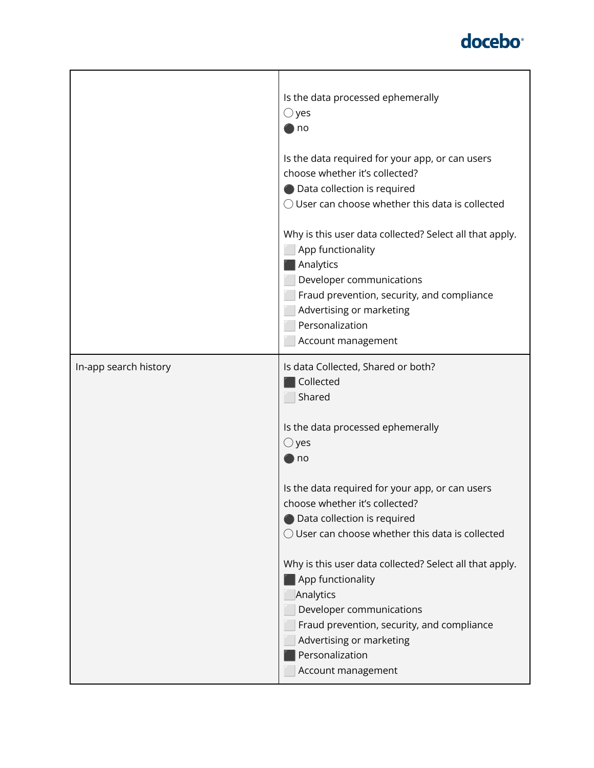|                       | Is the data processed ephemerally<br>$\bigcirc$ yes<br>no<br>Is the data required for your app, or can users<br>choose whether it's collected?<br>● Data collection is required<br>$\bigcirc$ User can choose whether this data is collected<br>Why is this user data collected? Select all that apply. |
|-----------------------|---------------------------------------------------------------------------------------------------------------------------------------------------------------------------------------------------------------------------------------------------------------------------------------------------------|
|                       | App functionality<br>Analytics<br>Developer communications<br>Fraud prevention, security, and compliance<br>Advertising or marketing<br>Personalization<br>Account management                                                                                                                           |
| In-app search history | Is data Collected, Shared or both?<br>Collected<br>Shared<br>Is the data processed ephemerally                                                                                                                                                                                                          |
|                       | $\bigcirc$ yes<br>$\blacksquare$ no                                                                                                                                                                                                                                                                     |
|                       | Is the data required for your app, or can users<br>choose whether it's collected?<br>● Data collection is required<br>$\bigcirc$ User can choose whether this data is collected                                                                                                                         |
|                       | Why is this user data collected? Select all that apply.<br>App functionality<br>Analytics<br>Developer communications<br>Fraud prevention, security, and compliance<br>Advertising or marketing<br>Personalization<br>Account management                                                                |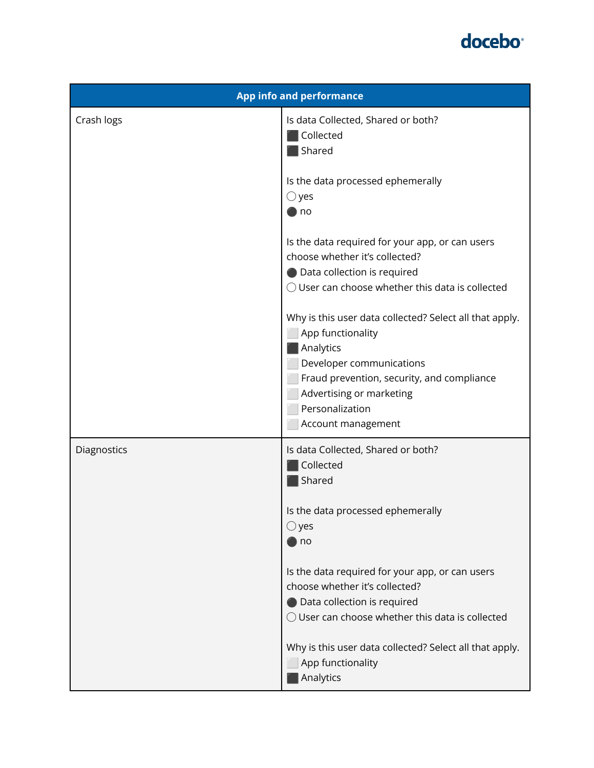

| <b>App info and performance</b> |                                                                                                                                                                                                                                          |  |
|---------------------------------|------------------------------------------------------------------------------------------------------------------------------------------------------------------------------------------------------------------------------------------|--|
| Crash logs                      | Is data Collected, Shared or both?<br><b>Collected</b><br>Shared                                                                                                                                                                         |  |
|                                 | Is the data processed ephemerally<br>$\bigcirc$ yes<br>) no                                                                                                                                                                              |  |
|                                 | Is the data required for your app, or can users<br>choose whether it's collected?<br>● Data collection is required<br>O User can choose whether this data is collected                                                                   |  |
|                                 | Why is this user data collected? Select all that apply.<br>App functionality<br>Analytics<br>Developer communications<br>Fraud prevention, security, and compliance<br>Advertising or marketing<br>Personalization<br>Account management |  |
| Diagnostics                     | Is data Collected, Shared or both?<br>Collected<br>Shared                                                                                                                                                                                |  |
|                                 | Is the data processed ephemerally<br>$\bigcirc$ yes<br>) no                                                                                                                                                                              |  |
|                                 | Is the data required for your app, or can users<br>choose whether it's collected?<br>Data collection is required<br>$\bigcirc$ User can choose whether this data is collected                                                            |  |
|                                 | Why is this user data collected? Select all that apply.<br>App functionality<br>Analytics                                                                                                                                                |  |